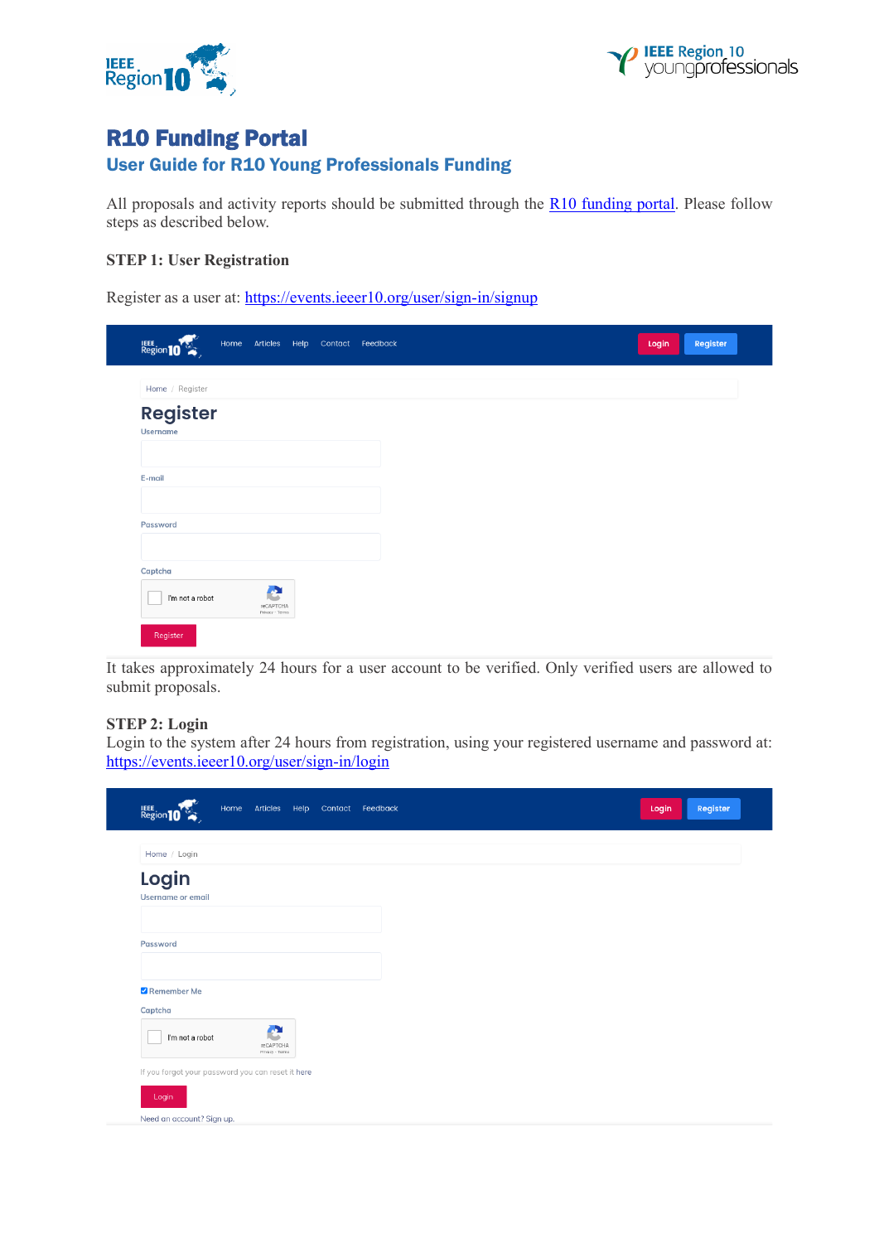



# R10 Funding Portal

# User Guide for R10 Young Professionals Funding

All proposals and activity reports should be submitted through the [R10 funding portal.](https://events.ieeer10.org/) Please follow steps as described below.

### **STEP 1: User Registration**

Register as a user at:<https://events.ieeer10.org/user/sign-in/signup>

| Region 10       | Home |                                   |  | Articles Help Contact Feedback |
|-----------------|------|-----------------------------------|--|--------------------------------|
| Home / Register |      |                                   |  |                                |
| <b>Register</b> |      |                                   |  |                                |
| <b>Username</b> |      |                                   |  |                                |
|                 |      |                                   |  |                                |
| E-mail          |      |                                   |  |                                |
| Password        |      |                                   |  |                                |
|                 |      |                                   |  |                                |
| Captcha         |      |                                   |  |                                |
| I'm not a robot |      | e<br>reCAPTCHA<br>Privacy - Terms |  |                                |
| Register        |      |                                   |  |                                |

It takes approximately 24 hours for a user account to be verified. Only verified users are allowed to submit proposals.

## **STEP 2: Login**

Login to the system after 24 hours from registration, using your registered username and password at: <https://events.ieeer10.org/user/sign-in/login>

| <b>Region</b> 10                                  | Home |                                     |  | Articles Help Contact Feedback |  | Login | Register |
|---------------------------------------------------|------|-------------------------------------|--|--------------------------------|--|-------|----------|
| Home / Login                                      |      |                                     |  |                                |  |       |          |
| Login<br><b>Username or email</b>                 |      |                                     |  |                                |  |       |          |
| Password                                          |      |                                     |  |                                |  |       |          |
| Remember Me<br>Captcha                            |      |                                     |  |                                |  |       |          |
| I'm not a robot                                   |      | аX,<br>reCAPTCHA<br>Privacy - Terms |  |                                |  |       |          |
| If you forgot your password you can reset it here |      |                                     |  |                                |  |       |          |
| Login                                             |      |                                     |  |                                |  |       |          |
| Need an account? Sign up.                         |      |                                     |  |                                |  |       |          |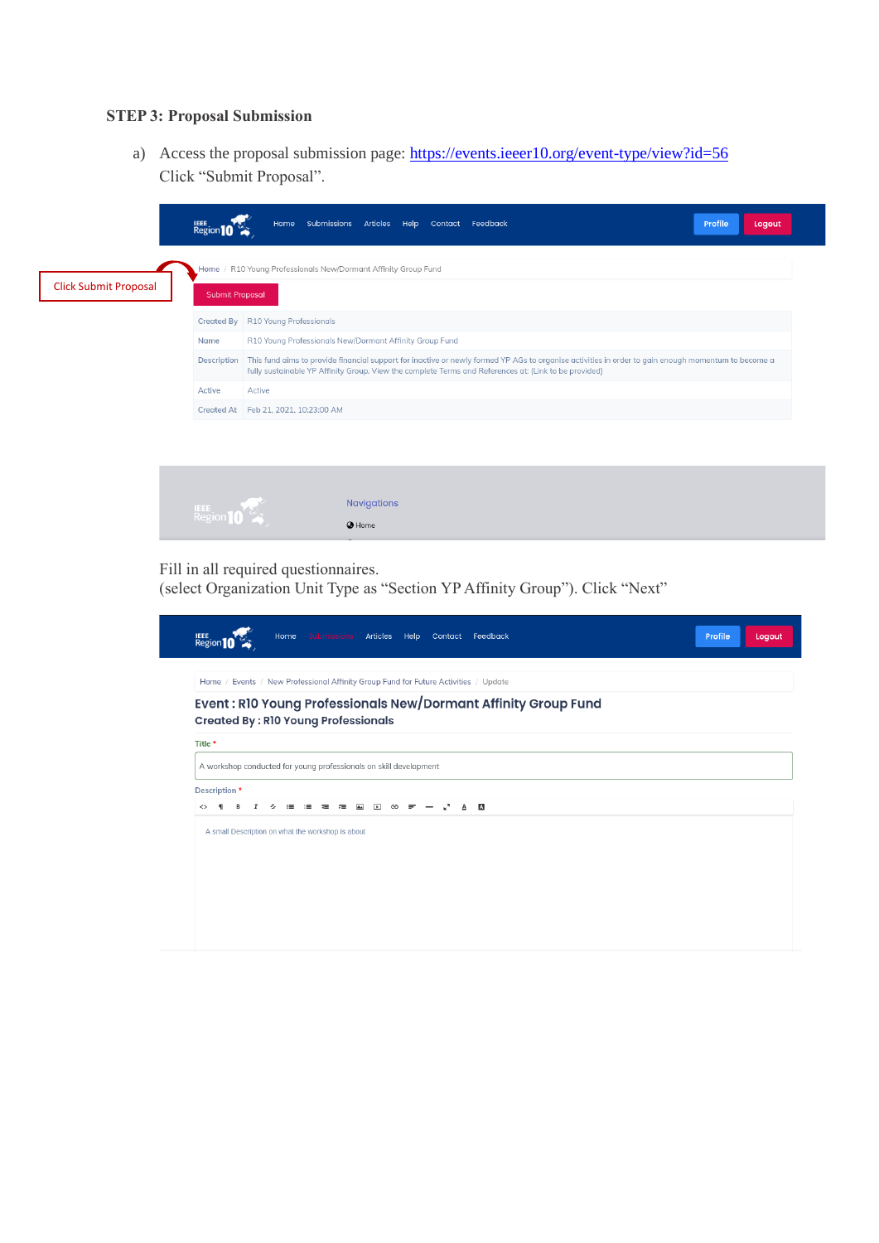# **STEP 3: Proposal Submission**

a) Access the proposal submission page:<https://events.ieeer10.org/event-type/view?id=56> Click "Submit Proposal".

| <b>Click Submit Proposal</b> | <b>Region</b> 10<br><b>Submit Proposal</b> | Home Submissions Articles Help Contact Feedback<br>Profile<br>Logout<br>Home / R10 Young Professionals New/Dormant Affinity Group Fund                                                                                                                       |  |  |  |  |  |  |
|------------------------------|--------------------------------------------|--------------------------------------------------------------------------------------------------------------------------------------------------------------------------------------------------------------------------------------------------------------|--|--|--|--|--|--|
|                              | Created By R10 Young Professionals         |                                                                                                                                                                                                                                                              |  |  |  |  |  |  |
|                              | Name                                       | R10 Young Professionals New/Dormant Affinity Group Fund                                                                                                                                                                                                      |  |  |  |  |  |  |
|                              | Description                                | This fund aims to provide financial support for inactive or newly formed YP AGs to organise activities in order to gain enough momentum to become a<br>fully sustainable YP Affinity Group. View the complete Terms and References at: (Link to be provided) |  |  |  |  |  |  |
|                              | Active                                     | Active                                                                                                                                                                                                                                                       |  |  |  |  |  |  |
|                              |                                            | Created At Feb 21, 2021, 10:23:00 AM                                                                                                                                                                                                                         |  |  |  |  |  |  |
|                              |                                            |                                                                                                                                                                                                                                                              |  |  |  |  |  |  |
|                              |                                            | <b>Navigations</b>                                                                                                                                                                                                                                           |  |  |  |  |  |  |
|                              |                                            | @ Home                                                                                                                                                                                                                                                       |  |  |  |  |  |  |

Fill in all required questionnaires.

(select Organization Unit Type as "Section YP Affinity Group"). Click "Next"

| Home<br><b>Articles</b><br>Feedback<br><b>IEEE</b><br>Region<br>Help<br><b>Submissions</b><br>Contact        | Profile<br>Logout |
|--------------------------------------------------------------------------------------------------------------|-------------------|
| Home / Events / New Professional Affinity Group Fund for Future Activities / Update                          |                   |
| Event: R10 Young Professionals New/Dormant Affinity Group Fund<br><b>Created By: R10 Young Professionals</b> |                   |
| Title *                                                                                                      |                   |
| A workshop conducted for young professionals on skill development                                            |                   |
| Description *                                                                                                |                   |
| ⊬™<br>A<br>ෞ<br>≺≻<br>۰<br>B<br>I<br>s<br><b>A</b><br>$\sqrt{2}$<br>$=$<br>A<br>$\equiv$<br>ᆴ<br>≂           |                   |
| A small Description on what the workshop is about                                                            |                   |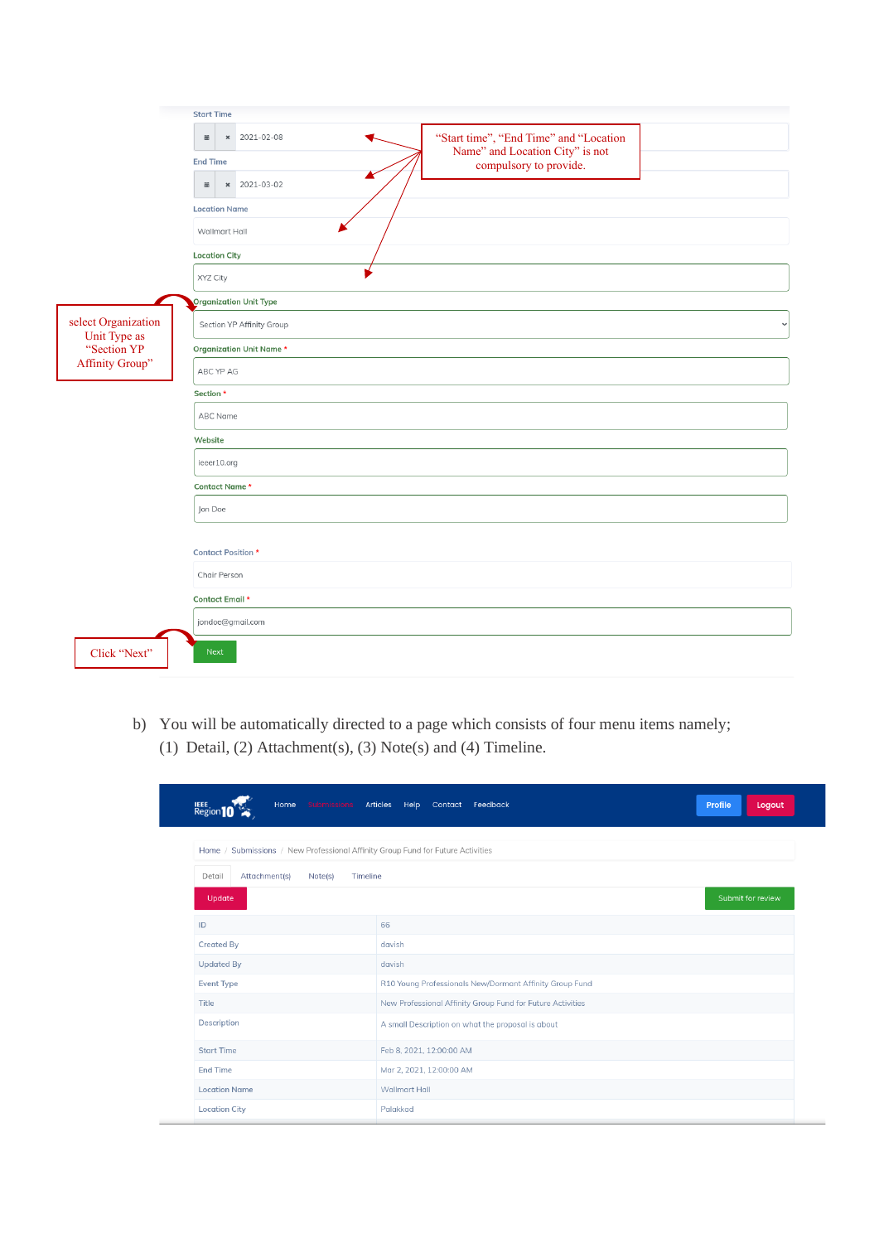|                                     | <b>Start Time</b>                                                                                             |
|-------------------------------------|---------------------------------------------------------------------------------------------------------------|
|                                     | $x = 2021 - 02 - 08$<br>"Start time", "End Time" and "Location<br>$\equiv$<br>Name" and Location City" is not |
|                                     | <b>End Time</b><br>compulsory to provide.<br>× 2021-03-02<br>$\boxplus$                                       |
|                                     | <b>Location Name</b>                                                                                          |
|                                     | Wallmart Hall                                                                                                 |
|                                     | <b>Location City</b><br>XYZ City                                                                              |
|                                     | <b>Organization Unit Type</b>                                                                                 |
| select Organization<br>Unit Type as | Section YP Affinity Group                                                                                     |
| "Section YP                         | <b>Organization Unit Name *</b>                                                                               |
| Affinity Group"                     | ABC YP AG                                                                                                     |
|                                     | Section *                                                                                                     |
|                                     | ABC Name                                                                                                      |
|                                     | Website                                                                                                       |
|                                     | ieeer10.org                                                                                                   |
|                                     | Contact Name*                                                                                                 |
|                                     | Jon Doe                                                                                                       |
|                                     | <b>Contact Position *</b>                                                                                     |
|                                     | Chair Person                                                                                                  |
|                                     | Contact Email *                                                                                               |
|                                     | jondoe@gmail.com                                                                                              |
| Click "Next"                        | Next                                                                                                          |

b) You will be automatically directed to a page which consists of four menu items namely; (1) Detail, (2) Attachment(s), (3) Note(s) and (4) Timeline.

| Home<br>Submissions<br><b>Region</b> 10                                         | Articles<br>Help<br>Feedback<br>Contact                    | Profile<br>Logout |
|---------------------------------------------------------------------------------|------------------------------------------------------------|-------------------|
| Home / Submissions / New Professional Affinity Group Fund for Future Activities |                                                            |                   |
| Attachment(s)<br>Detail<br>Note(s)<br>Timeline                                  |                                                            |                   |
| Update                                                                          |                                                            | Submit for review |
| ID                                                                              | 66                                                         |                   |
| <b>Created By</b>                                                               | davish                                                     |                   |
| <b>Updated By</b>                                                               | davish                                                     |                   |
| <b>Event Type</b>                                                               | R10 Young Professionals New/Dormant Affinity Group Fund    |                   |
| Title                                                                           | New Professional Affinity Group Fund for Future Activities |                   |
| Description                                                                     | A small Description on what the proposal is about          |                   |
| <b>Start Time</b>                                                               | Feb 8, 2021, 12:00:00 AM                                   |                   |
| <b>End Time</b>                                                                 | Mar 2, 2021, 12:00:00 AM                                   |                   |
| <b>Location Name</b>                                                            | Wallmart Hall                                              |                   |
| <b>Location City</b>                                                            | Palakkad                                                   |                   |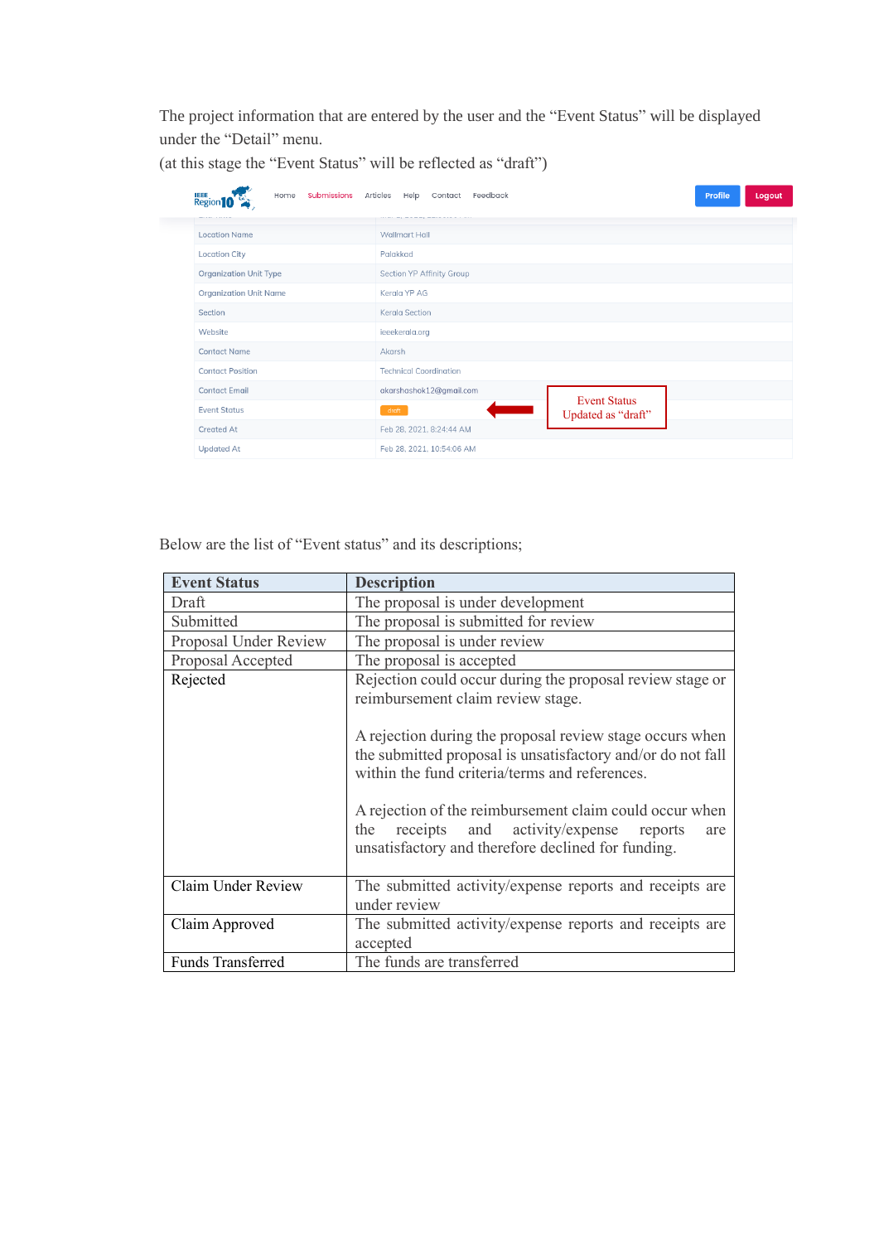The project information that are entered by the user and the "Event Status" will be displayed under the "Detail" menu.

| <b>IEEE</b><br>Region <sup>10</sup><br>Submissions<br>Home | <b>Profile</b><br>Articles<br>Help<br>Feedback<br>Logout<br>Contact |  |  |  |
|------------------------------------------------------------|---------------------------------------------------------------------|--|--|--|
| <b>Location Name</b>                                       | <b>Wallmart Hall</b>                                                |  |  |  |
| <b>Location City</b>                                       | Palakkad                                                            |  |  |  |
| <b>Organization Unit Type</b>                              | Section YP Affinity Group                                           |  |  |  |
| <b>Organization Unit Name</b>                              | Kerala YP AG                                                        |  |  |  |
| Section                                                    | Kerala Section                                                      |  |  |  |
| Website                                                    | ieeekerala.org                                                      |  |  |  |
| <b>Contact Name</b>                                        | Akarsh                                                              |  |  |  |
| <b>Contact Position</b>                                    | <b>Technical Coordination</b>                                       |  |  |  |
| <b>Contact Email</b>                                       | akarshashok12@gmail.com                                             |  |  |  |
| <b>Event Status</b>                                        | <b>Event Status</b><br>draft<br>Updated as "draft"                  |  |  |  |
| <b>Created At</b>                                          | Feb 28, 2021, 8:24:44 AM                                            |  |  |  |
| <b>Updated At</b>                                          | Feb 28, 2021, 10:54:06 AM                                           |  |  |  |

(at this stage the "Event Status" will be reflected as "draft")

| <b>Event Status</b>   | <b>Description</b>                                                                                                                                                                                                                                                                                                                                                                                                                                     |
|-----------------------|--------------------------------------------------------------------------------------------------------------------------------------------------------------------------------------------------------------------------------------------------------------------------------------------------------------------------------------------------------------------------------------------------------------------------------------------------------|
| Draft                 | The proposal is under development                                                                                                                                                                                                                                                                                                                                                                                                                      |
| Submitted             | The proposal is submitted for review                                                                                                                                                                                                                                                                                                                                                                                                                   |
| Proposal Under Review | The proposal is under review                                                                                                                                                                                                                                                                                                                                                                                                                           |
| Proposal Accepted     | The proposal is accepted                                                                                                                                                                                                                                                                                                                                                                                                                               |
| Rejected              | Rejection could occur during the proposal review stage or<br>reimbursement claim review stage.<br>A rejection during the proposal review stage occurs when<br>the submitted proposal is unsatisfactory and/or do not fall<br>within the fund criteria/terms and references.<br>A rejection of the reimbursement claim could occur when<br>receipts and activity/expense<br>the<br>reports<br>are<br>unsatisfactory and therefore declined for funding. |
| Claim Under Review    | The submitted activity/expense reports and receipts are<br>under review                                                                                                                                                                                                                                                                                                                                                                                |
| Claim Approved        | The submitted activity/expense reports and receipts are<br>accepted                                                                                                                                                                                                                                                                                                                                                                                    |
| Funds Transferred     | The funds are transferred                                                                                                                                                                                                                                                                                                                                                                                                                              |

Below are the list of "Event status" and its descriptions;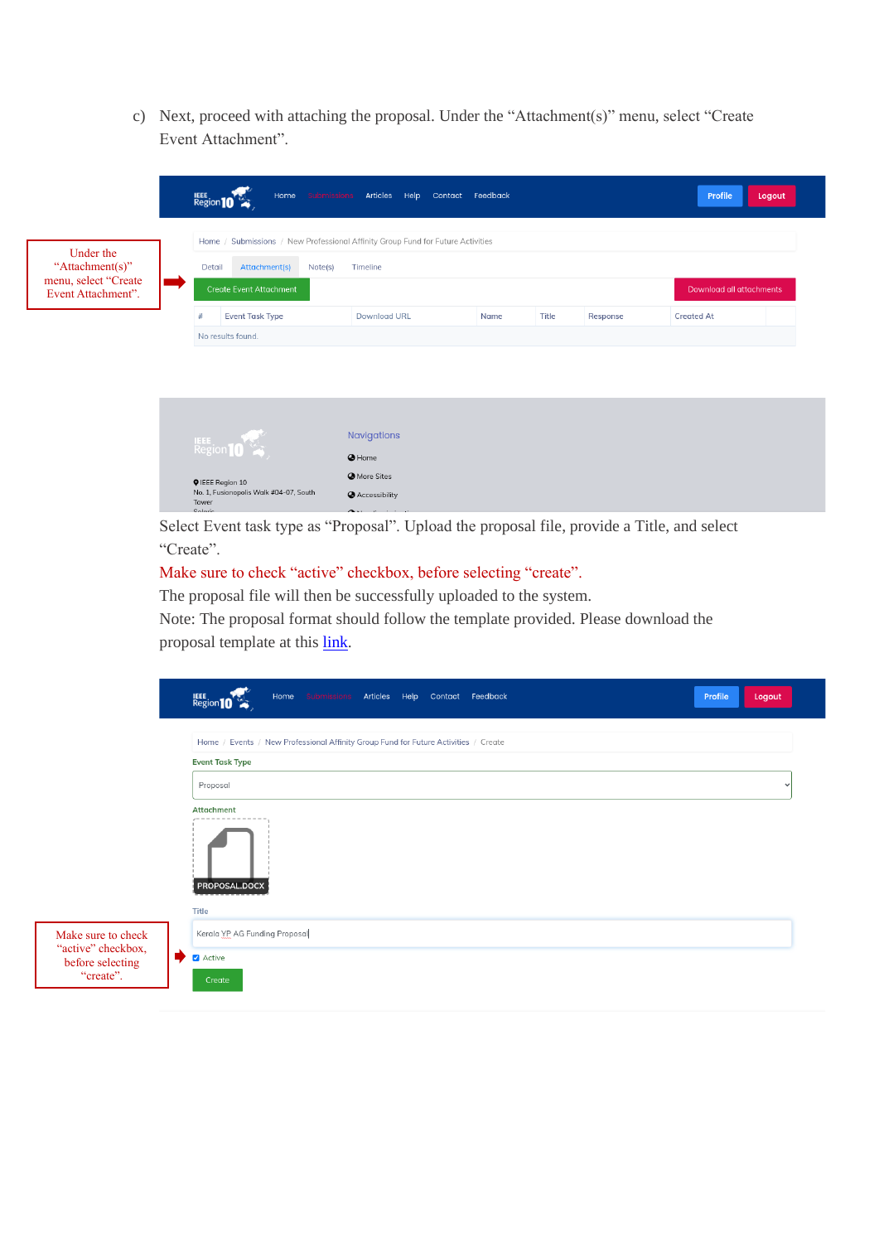c) Next, proceed with attaching the proposal. Under the "Attachment(s)" menu, select "Create Event Attachment".

|                                         | Home Submissions<br>Region 10                                                   | Articles Help       | Contact Feedback |                   | Profile           | Logout |  |
|-----------------------------------------|---------------------------------------------------------------------------------|---------------------|------------------|-------------------|-------------------|--------|--|
| Under the                               | Home / Submissions / New Professional Affinity Group Fund for Future Activities |                     |                  |                   |                   |        |  |
| "Attachment(s)"<br>menu, select "Create | Attachment(s)<br>Detail<br>Note(s)                                              | Timeline            |                  |                   |                   |        |  |
| Event Attachment".                      | <b>Create Event Attachment</b><br>Download all attachments                      |                     |                  |                   |                   |        |  |
|                                         | <b>Event Task Type</b><br>#                                                     | <b>Download URL</b> | Name             | Title<br>Response | <b>Created At</b> |        |  |
|                                         | No results found.                                                               |                     |                  |                   |                   |        |  |
|                                         | Region 10                                                                       | Navigations         |                  |                   |                   |        |  |
|                                         |                                                                                 | @ Home              |                  |                   |                   |        |  |
|                                         | <b>Q</b> IEEE Region 10                                                         | <b>O</b> More Sites |                  |                   |                   |        |  |
|                                         | No. 1, Fusionopolis Walk #04-07, South<br>Tower                                 | Accessibility       |                  |                   |                   |        |  |

Select Event task type as "Proposal". Upload the proposal file, provide a Title, and select "Create".

#### Make sure to check "active" checkbox, before selecting "create".

The proposal file will then be successfully uploaded to the system.

Note: The proposal format should follow the template provided. Please download the proposal template at thi[s link.](https://yp.ieeer10.org/new-dormant-affinity-group-fund-template)

|                                          | Home Submissions Articles Help Contact Feedback<br>Region 10<br>Profile<br>Logout   |  |
|------------------------------------------|-------------------------------------------------------------------------------------|--|
|                                          | Home / Events / New Professional Affinity Group Fund for Future Activities / Create |  |
|                                          | <b>Event Task Type</b><br>Proposal                                                  |  |
|                                          | Attachment                                                                          |  |
|                                          | PROPOSAL.DOCX                                                                       |  |
|                                          | Title                                                                               |  |
| Make sure to check<br>"active" checkbox, | Kerala YP AG Funding Proposal                                                       |  |
| before selecting<br>"create".            | Active<br>Create                                                                    |  |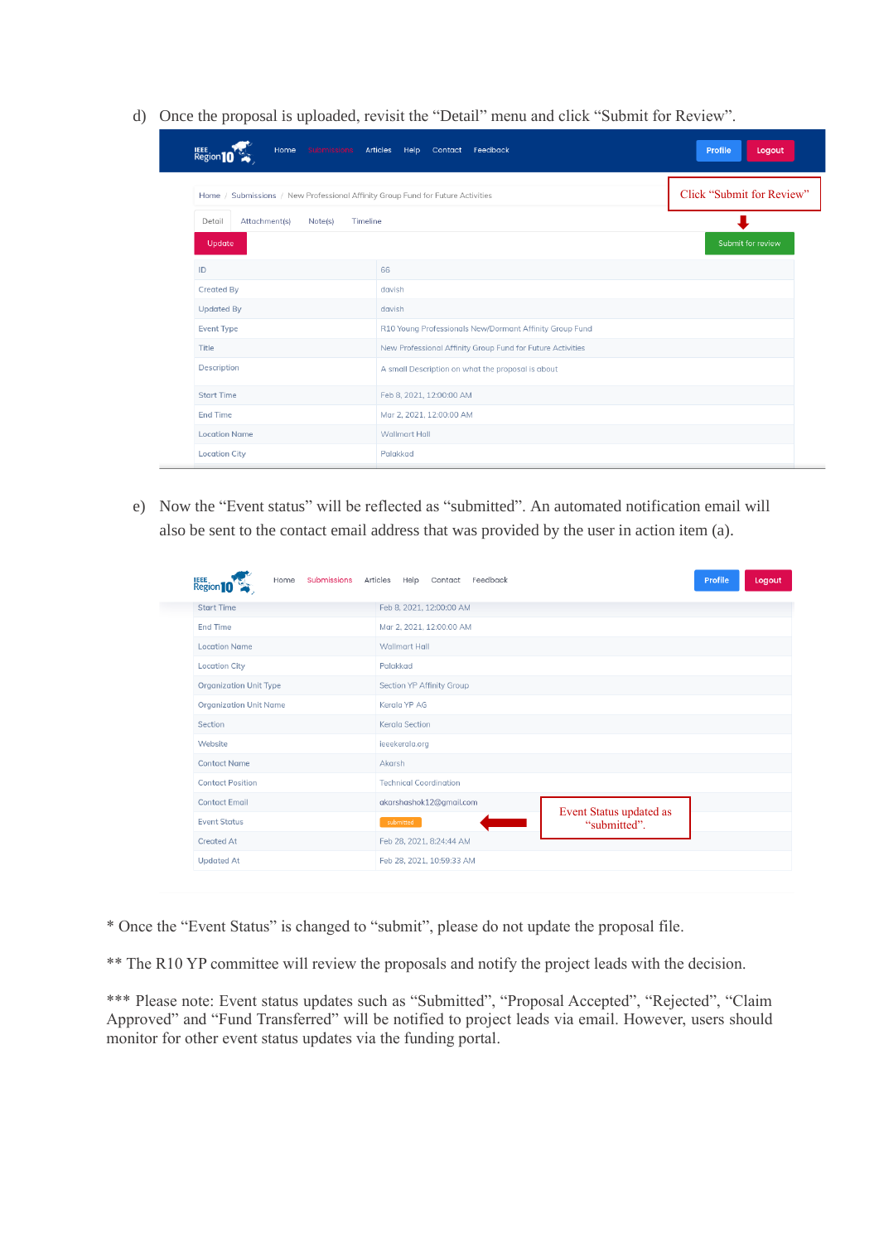d) Once the proposal is uploaded, revisit the "Detail" menu and click "Submit for Review".

| Home<br>Submissions<br>Regi                                                     | Contact Feedback<br><b>Articles</b><br>Help                | <b>Profile</b><br>Logout  |
|---------------------------------------------------------------------------------|------------------------------------------------------------|---------------------------|
| Home / Submissions / New Professional Affinity Group Fund for Future Activities |                                                            | Click "Submit for Review" |
| Attachment(s)<br>Detail<br>Note(s)<br>Timeline                                  |                                                            |                           |
| Update                                                                          |                                                            | Submit for review         |
| ID                                                                              | 66                                                         |                           |
| <b>Created By</b>                                                               | davish                                                     |                           |
| <b>Updated By</b>                                                               | davish                                                     |                           |
| <b>Event Type</b>                                                               | R10 Young Professionals New/Dormant Affinity Group Fund    |                           |
| Title                                                                           | New Professional Affinity Group Fund for Future Activities |                           |
| Description                                                                     | A small Description on what the proposal is about          |                           |
| <b>Start Time</b>                                                               | Feb 8, 2021, 12:00:00 AM                                   |                           |
| <b>End Time</b>                                                                 | Mar 2, 2021, 12:00:00 AM                                   |                           |
| <b>Location Name</b>                                                            | Wallmart Hall                                              |                           |
| <b>Location City</b>                                                            | Palakkad                                                   |                           |

e) Now the "Event status" will be reflected as "submitted". An automated notification email will also be sent to the contact email address that was provided by the user in action item (a).

| <b>Region 10</b><br>Submissions Articles<br>Home | Help Contact Feedback         |                                         | Profile | Logout |
|--------------------------------------------------|-------------------------------|-----------------------------------------|---------|--------|
| <b>Start Time</b>                                | Feb 8, 2021, 12:00:00 AM      |                                         |         |        |
| <b>End Time</b>                                  | Mar 2, 2021, 12:00:00 AM      |                                         |         |        |
| <b>Location Name</b>                             | <b>Wallmart Hall</b>          |                                         |         |        |
| <b>Location City</b>                             | Palakkad                      |                                         |         |        |
| <b>Organization Unit Type</b>                    | Section YP Affinity Group     |                                         |         |        |
| <b>Organization Unit Name</b>                    | Kerala YP AG                  |                                         |         |        |
| Section                                          | Kerala Section                |                                         |         |        |
| Website                                          | ieeekerala.org                |                                         |         |        |
| <b>Contact Name</b>                              | Akarsh                        |                                         |         |        |
| <b>Contact Position</b>                          | <b>Technical Coordination</b> |                                         |         |        |
| <b>Contact Email</b>                             | akarshashok12@gmail.com       |                                         |         |        |
| <b>Event Status</b>                              | submitted                     | Event Status updated as<br>"submitted". |         |        |
| <b>Created At</b>                                | Feb 28, 2021, 8:24:44 AM      |                                         |         |        |
| <b>Updated At</b>                                | Feb 28, 2021, 10:59:33 AM     |                                         |         |        |

\* Once the "Event Status" is changed to "submit", please do not update the proposal file.

\*\* The R10 YP committee will review the proposals and notify the project leads with the decision.

\*\*\* Please note: Event status updates such as "Submitted", "Proposal Accepted", "Rejected", "Claim Approved" and "Fund Transferred" will be notified to project leads via email. However, users should monitor for other event status updates via the funding portal.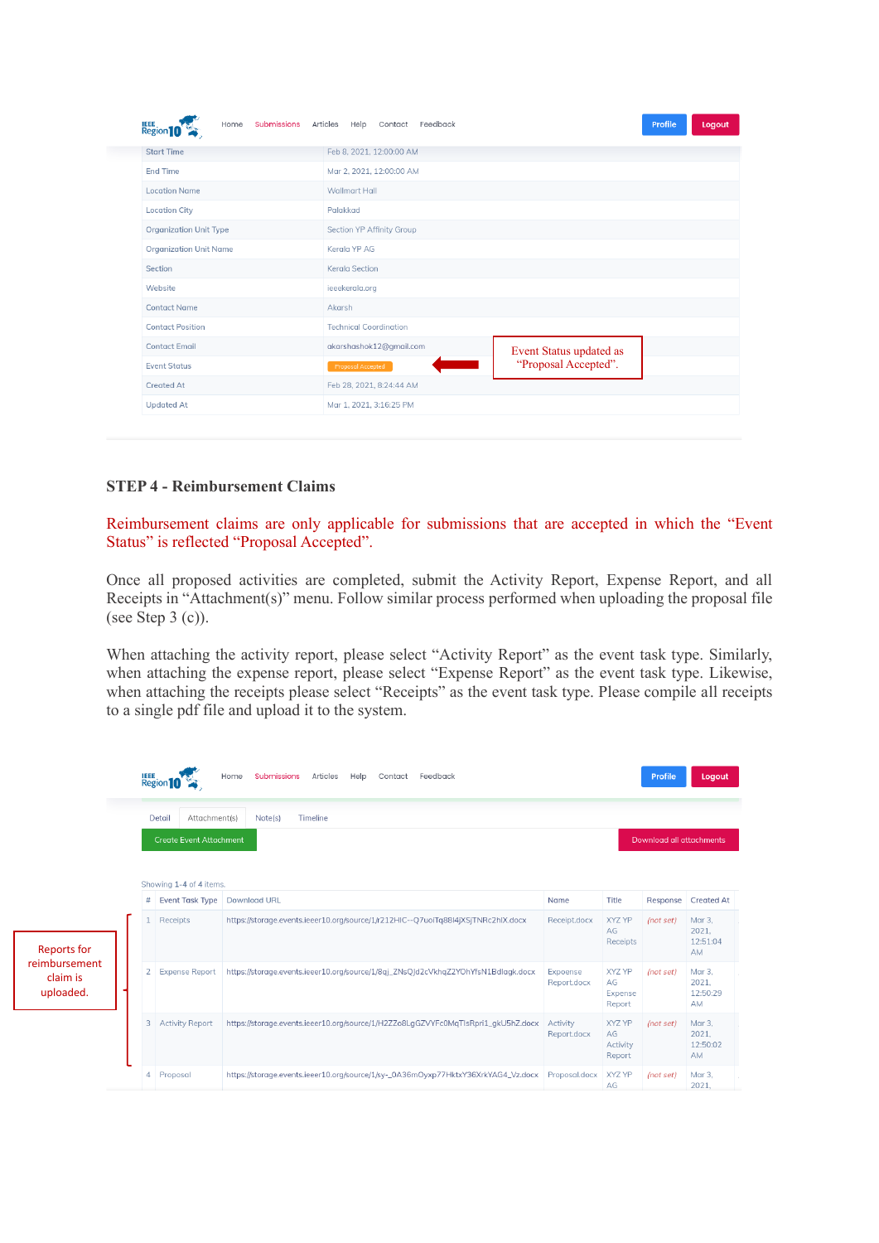| <b>Submissions</b><br><b>Region 10</b><br>Home | Feedback<br>Articles<br>Help<br>Contact |                         | Profile | Logout |  |  |  |
|------------------------------------------------|-----------------------------------------|-------------------------|---------|--------|--|--|--|
| <b>Start Time</b>                              | Feb 8, 2021, 12:00:00 AM                |                         |         |        |  |  |  |
| <b>End Time</b>                                | Mar 2, 2021, 12:00:00 AM                |                         |         |        |  |  |  |
| <b>Location Name</b>                           | Wallmart Hall                           |                         |         |        |  |  |  |
| <b>Location City</b>                           | Palakkad                                |                         |         |        |  |  |  |
| <b>Organization Unit Type</b>                  | Section YP Affinity Group               |                         |         |        |  |  |  |
| <b>Organization Unit Name</b>                  | Kerala YP AG                            |                         |         |        |  |  |  |
| Section                                        | <b>Kerala Section</b>                   |                         |         |        |  |  |  |
| Website                                        | ieeekerala.org                          |                         |         |        |  |  |  |
| <b>Contact Name</b>                            | Akarsh                                  |                         |         |        |  |  |  |
| <b>Contact Position</b>                        | <b>Technical Coordination</b>           |                         |         |        |  |  |  |
| <b>Contact Email</b>                           | akarshashok12@gmail.com                 | Event Status updated as |         |        |  |  |  |
| <b>Event Status</b>                            | Proposal Accepted                       | "Proposal Accepted".    |         |        |  |  |  |
| <b>Created At</b>                              | Feb 28, 2021, 8:24:44 AM                |                         |         |        |  |  |  |
| <b>Updated At</b>                              | Mar 1, 2021, 3:16:25 PM                 |                         |         |        |  |  |  |

#### **STEP 4 - Reimbursement Claims**

Reimbursement claims are only applicable for submissions that are accepted in which the "Event Status" is reflected "Proposal Accepted".

Once all proposed activities are completed, submit the Activity Report, Expense Report, and all Receipts in "Attachment(s)" menu. Follow similar process performed when uploading the proposal file (see Step  $3$  (c)).

When attaching the activity report, please select "Activity Report" as the event task type. Similarly, when attaching the expense report, please select "Expense Report" as the event task type. Likewise, when attaching the receipts please select "Receipts" as the event task type. Please compile all receipts to a single pdf file and upload it to the system.

|                                                              |                                | <b>Region</b> <sup>10</sup> | <b>Submissions</b><br>Articles<br>Help<br>Feedback<br>Home<br>Contact             |                         |                                           | Profile                         | Logout                            |  |
|--------------------------------------------------------------|--------------------------------|-----------------------------|-----------------------------------------------------------------------------------|-------------------------|-------------------------------------------|---------------------------------|-----------------------------------|--|
|                                                              |                                | Detail<br>Attachment(s)     | Timeline<br>Note(s)                                                               |                         |                                           |                                 |                                   |  |
|                                                              | <b>Create Event Attachment</b> |                             |                                                                                   |                         |                                           | <b>Download all attachments</b> |                                   |  |
|                                                              |                                | Showing 1-4 of 4 items.     |                                                                                   |                         |                                           |                                 |                                   |  |
|                                                              | #                              | <b>Event Task Type</b>      | <b>Download URL</b>                                                               | Name                    | Title                                     |                                 | Response Created At               |  |
| <b>Reports for</b><br>reimbursement<br>claim is<br>uploaded. | 1                              | Receipts                    | https://storage.events.ieeer10.org/source/1/r212HIC--Q7uoiTq88I4jXSjTNRc2hIX.docx | Receipt.docx            | XYZ YP<br>AG<br>Receipts                  | (not set)                       | Mar 3,<br>2021.<br>12:51:04<br>AM |  |
|                                                              | $\mathbf{2}$                   | <b>Expense Report</b>       | https://storage.events.ieeer10.org/source/1/8qj_ZNsQJd2cVkhqZ2YOhYfsN1Bdlagk.docx | Expoense<br>Report.docx | <b>XYZ YP</b><br>AG<br>Expense<br>Report  | (not set)                       | Mar 3.<br>2021.<br>12:50:29<br>AM |  |
|                                                              | 3                              | <b>Activity Report</b>      | https://storage.events.ieeer10.org/source/1/H2ZZo8LgGZVYFc0MqTIsRpri1_gkU5hZ.docx | Activity<br>Report.docx | <b>XYZ YP</b><br>AG<br>Activity<br>Report | (not set)                       | Mar 3.<br>2021.<br>12:50:02<br>AM |  |
|                                                              | 4                              | Proposal                    | https://storage.events.ieeer10.org/source/1/sy-_0A36mOyxp77HktxY36XrkYAG4_Vz.docx | Proposal.docx           | XYZ YP<br>AG                              | (not set)                       | Mar 3,<br>2021,                   |  |